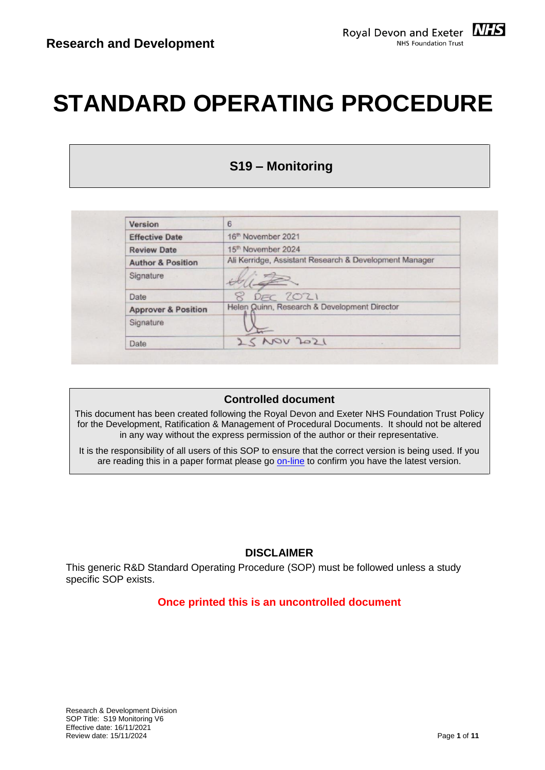# **STANDARD OPERATING PROCEDURE**

# **S19 – Monitoring**

| Version                        | 6                                                      |
|--------------------------------|--------------------------------------------------------|
| <b>Effective Date</b>          | 16 <sup>th</sup> November 2021                         |
| <b>Review Date</b>             | 15 <sup>th</sup> November 2024                         |
| <b>Author &amp; Position</b>   | Ali Kerridge, Assistant Research & Development Manager |
| Signature                      |                                                        |
| Date                           | DEC 2021                                               |
| <b>Approver &amp; Position</b> | Helen Quinn, Research & Development Director           |
| Signature                      |                                                        |
| Date                           | 25100221                                               |

#### **Controlled document**

This document has been created following the Royal Devon and Exeter NHS Foundation Trust Policy for the Development, Ratification & Management of Procedural Documents. It should not be altered in any way without the express permission of the author or their representative.

It is the responsibility of all users of this SOP to ensure that the correct version is being used. If you are reading this in a paper format please go [on-line](https://rderesearch.co.uk/) to confirm you have the latest version.

## **DISCLAIMER**

This generic R&D Standard Operating Procedure (SOP) must be followed unless a study specific SOP exists.

## **Once printed this is an uncontrolled document**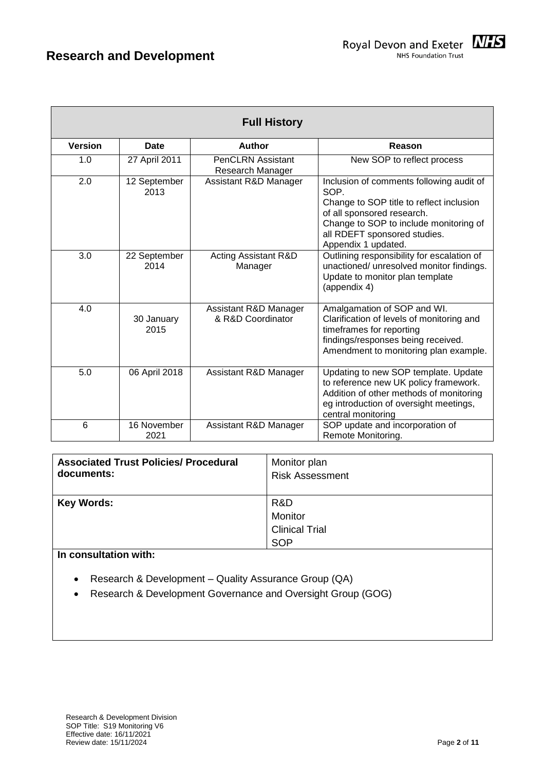

| <b>Full History</b> |                      |                                              |                                                                                                                                                                                                                             |
|---------------------|----------------------|----------------------------------------------|-----------------------------------------------------------------------------------------------------------------------------------------------------------------------------------------------------------------------------|
| <b>Version</b>      | Date                 | Author                                       | Reason                                                                                                                                                                                                                      |
| 1.0                 | 27 April 2011        | <b>PenCLRN Assistant</b><br>Research Manager | New SOP to reflect process                                                                                                                                                                                                  |
| 2.0                 | 12 September<br>2013 | Assistant R&D Manager                        | Inclusion of comments following audit of<br>SOP.<br>Change to SOP title to reflect inclusion<br>of all sponsored research.<br>Change to SOP to include monitoring of<br>all RDEFT sponsored studies.<br>Appendix 1 updated. |
| 3.0                 | 22 September<br>2014 | <b>Acting Assistant R&amp;D</b><br>Manager   | Outlining responsibility for escalation of<br>unactioned/ unresolved monitor findings.<br>Update to monitor plan template<br>(appendix 4)                                                                                   |
| 4.0                 | 30 January<br>2015   | Assistant R&D Manager<br>& R&D Coordinator   | Amalgamation of SOP and WI.<br>Clarification of levels of monitoring and<br>timeframes for reporting<br>findings/responses being received.<br>Amendment to monitoring plan example.                                         |
| 5.0                 | 06 April 2018        | Assistant R&D Manager                        | Updating to new SOP template. Update<br>to reference new UK policy framework.<br>Addition of other methods of monitoring<br>eg introduction of oversight meetings,<br>central monitoring                                    |
| 6                   | 16 November<br>2021  | Assistant R&D Manager                        | SOP update and incorporation of<br>Remote Monitoring.                                                                                                                                                                       |

| <b>Associated Trust Policies/ Procedural</b><br>documents: | Monitor plan<br><b>Risk Assessment</b> |
|------------------------------------------------------------|----------------------------------------|
| <b>Key Words:</b>                                          | R&D                                    |
|                                                            | Monitor                                |
|                                                            | <b>Clinical Trial</b>                  |
|                                                            | <b>SOP</b>                             |
| In consultation with:                                      |                                        |

## Research & Development – Quality Assurance Group (QA)

Research & Development Governance and Oversight Group (GOG)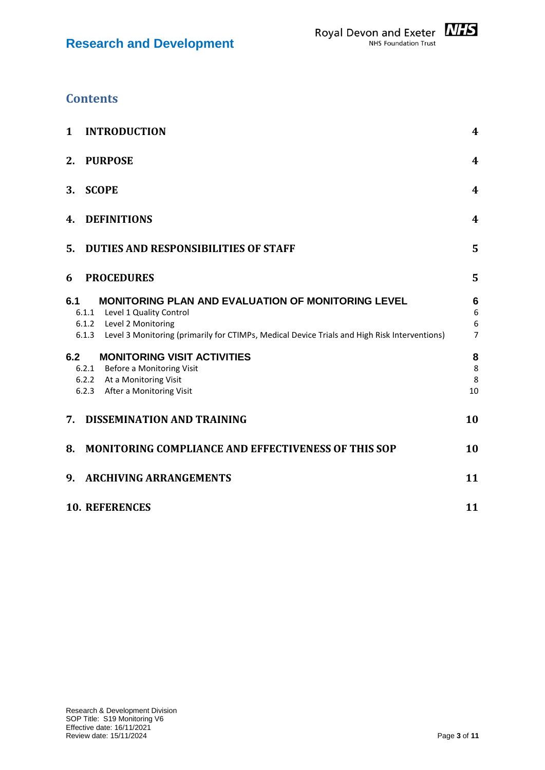

# **Contents**

| $\mathbf{1}$ | <b>INTRODUCTION</b>                                                                                                                                                                                                          | 4                                                          |
|--------------|------------------------------------------------------------------------------------------------------------------------------------------------------------------------------------------------------------------------------|------------------------------------------------------------|
| 2.           | <b>PURPOSE</b>                                                                                                                                                                                                               | 4                                                          |
| 3.           | <b>SCOPE</b>                                                                                                                                                                                                                 | 4                                                          |
| 4.           | <b>DEFINITIONS</b>                                                                                                                                                                                                           | 4                                                          |
| 5.           | <b>DUTIES AND RESPONSIBILITIES OF STAFF</b>                                                                                                                                                                                  | 5                                                          |
| 6            | <b>PROCEDURES</b>                                                                                                                                                                                                            | 5                                                          |
| 6.1          | <b>MONITORING PLAN AND EVALUATION OF MONITORING LEVEL</b><br>6.1.1 Level 1 Quality Control<br>6.1.2 Level 2 Monitoring<br>6.1.3 Level 3 Monitoring (primarily for CTIMPs, Medical Device Trials and High Risk Interventions) | $6\phantom{1}6$<br>6<br>$\boldsymbol{6}$<br>$\overline{7}$ |
| 6.2          | <b>MONITORING VISIT ACTIVITIES</b><br>6.2.1 Before a Monitoring Visit<br>6.2.2 At a Monitoring Visit<br>6.2.3 After a Monitoring Visit                                                                                       | 8<br>8<br>8<br>10                                          |
| 7.           | <b>DISSEMINATION AND TRAINING</b>                                                                                                                                                                                            | 10                                                         |
| 8.           | <b>MONITORING COMPLIANCE AND EFFECTIVENESS OF THIS SOP</b>                                                                                                                                                                   | 10                                                         |
| 9.           | <b>ARCHIVING ARRANGEMENTS</b>                                                                                                                                                                                                | 11                                                         |
|              | <b>10. REFERENCES</b>                                                                                                                                                                                                        | 11                                                         |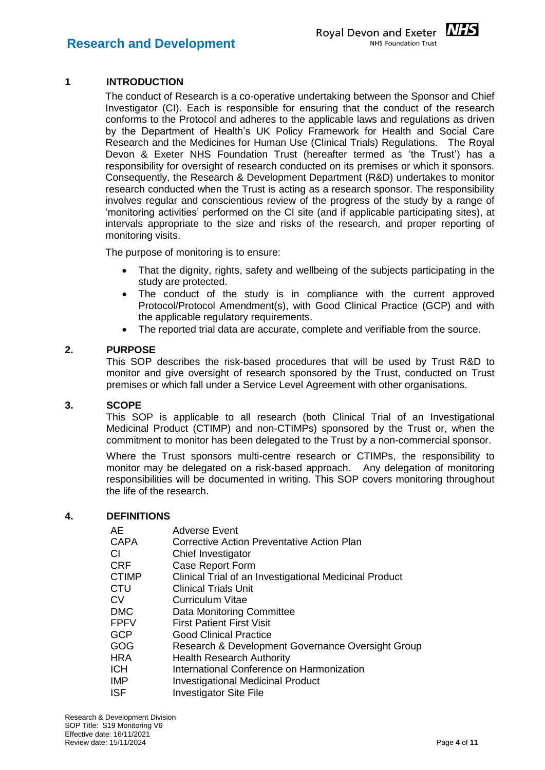#### <span id="page-3-0"></span>**1 INTRODUCTION**

The conduct of Research is a co-operative undertaking between the Sponsor and Chief Investigator (CI). Each is responsible for ensuring that the conduct of the research conforms to the Protocol and adheres to the applicable laws and regulations as driven by the Department of Health's UK Policy Framework for Health and Social Care Research and the Medicines for Human Use (Clinical Trials) Regulations. The Royal Devon & Exeter NHS Foundation Trust (hereafter termed as 'the Trust') has a responsibility for oversight of research conducted on its premises or which it sponsors. Consequently, the Research & Development Department (R&D) undertakes to monitor research conducted when the Trust is acting as a research sponsor. The responsibility involves regular and conscientious review of the progress of the study by a range of 'monitoring activities' performed on the CI site (and if applicable participating sites), at intervals appropriate to the size and risks of the research, and proper reporting of monitoring visits.

The purpose of monitoring is to ensure:

- That the dignity, rights, safety and wellbeing of the subjects participating in the study are protected.
- The conduct of the study is in compliance with the current approved Protocol/Protocol Amendment(s), with Good Clinical Practice (GCP) and with the applicable regulatory requirements.
- The reported trial data are accurate, complete and verifiable from the source.

#### <span id="page-3-1"></span>**2. PURPOSE**

This SOP describes the risk-based procedures that will be used by Trust R&D to monitor and give oversight of research sponsored by the Trust, conducted on Trust premises or which fall under a Service Level Agreement with other organisations.

#### <span id="page-3-2"></span>**3. SCOPE**

This SOP is applicable to all research (both Clinical Trial of an Investigational Medicinal Product (CTIMP) and non-CTIMPs) sponsored by the Trust or, when the commitment to monitor has been delegated to the Trust by a non-commercial sponsor.

Where the Trust sponsors multi-centre research or CTIMPs, the responsibility to monitor may be delegated on a risk-based approach. Any delegation of monitoring responsibilities will be documented in writing. This SOP covers monitoring throughout the life of the research.

#### <span id="page-3-3"></span>**4. DEFINITIONS**

| AE           | <b>Adverse Event</b>                                   |
|--------------|--------------------------------------------------------|
| <b>CAPA</b>  | Corrective Action Preventative Action Plan             |
| СI           | Chief Investigator                                     |
| CRF          | Case Report Form                                       |
| <b>CTIMP</b> | Clinical Trial of an Investigational Medicinal Product |
| CTU          | <b>Clinical Trials Unit</b>                            |
| CV           | Curriculum Vitae                                       |
| <b>DMC</b>   | Data Monitoring Committee                              |
| <b>FPFV</b>  | <b>First Patient First Visit</b>                       |
| <b>GCP</b>   | <b>Good Clinical Practice</b>                          |
| GOG          | Research & Development Governance Oversight Group      |
| HRA          | <b>Health Research Authority</b>                       |
| <b>ICH</b>   | International Conference on Harmonization              |
| IMP          | Investigational Medicinal Product                      |
| ISF          | <b>Investigator Site File</b>                          |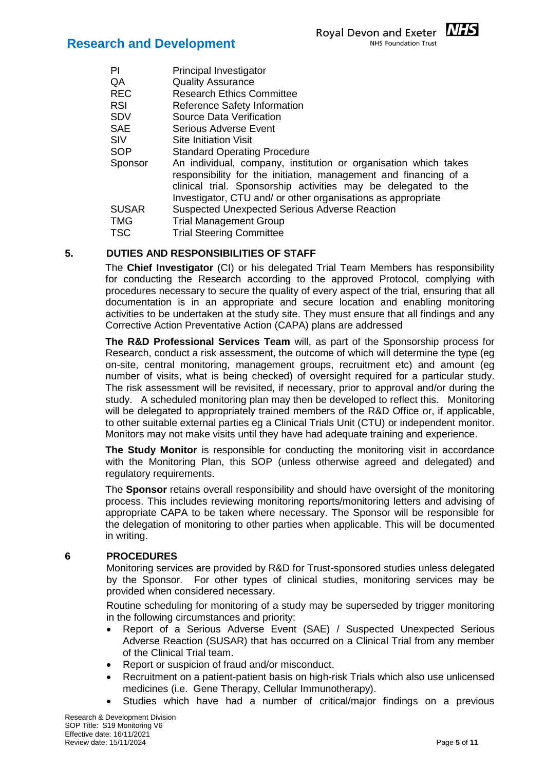

## <span id="page-4-0"></span>**5. DUTIES AND RESPONSIBILITIES OF STAFF**

The **Chief Investigator** (CI) or his delegated Trial Team Members has responsibility for conducting the Research according to the approved Protocol, complying with procedures necessary to secure the quality of every aspect of the trial, ensuring that all documentation is in an appropriate and secure location and enabling monitoring activities to be undertaken at the study site. They must ensure that all findings and any Corrective Action Preventative Action (CAPA) plans are addressed

**The R&D Professional Services Team** will, as part of the Sponsorship process for Research, conduct a risk assessment, the outcome of which will determine the type (eg on-site, central monitoring, management groups, recruitment etc) and amount (eg number of visits, what is being checked) of oversight required for a particular study. The risk assessment will be revisited, if necessary, prior to approval and/or during the study. A scheduled monitoring plan may then be developed to reflect this. Monitoring will be delegated to appropriately trained members of the R&D Office or, if applicable, to other suitable external parties eg a Clinical Trials Unit (CTU) or independent monitor. Monitors may not make visits until they have had adequate training and experience.

**The Study Monitor** is responsible for conducting the monitoring visit in accordance with the Monitoring Plan, this SOP (unless otherwise agreed and delegated) and regulatory requirements.

The **Sponsor** retains overall responsibility and should have oversight of the monitoring process. This includes reviewing monitoring reports/monitoring letters and advising of appropriate CAPA to be taken where necessary. The Sponsor will be responsible for the delegation of monitoring to other parties when applicable. This will be documented in writing.

#### <span id="page-4-1"></span>**6 PROCEDURES**

Monitoring services are provided by R&D for Trust-sponsored studies unless delegated by the Sponsor. For other types of clinical studies, monitoring services may be provided when considered necessary.

Routine scheduling for monitoring of a study may be superseded by trigger monitoring in the following circumstances and priority:

- Report of a Serious Adverse Event (SAE) / Suspected Unexpected Serious Adverse Reaction (SUSAR) that has occurred on a Clinical Trial from any member of the Clinical Trial team.
- Report or suspicion of fraud and/or misconduct.
- Recruitment on a patient-patient basis on high-risk Trials which also use unlicensed medicines (i.e. Gene Therapy, Cellular Immunotherapy).
- Studies which have had a number of critical/major findings on a previous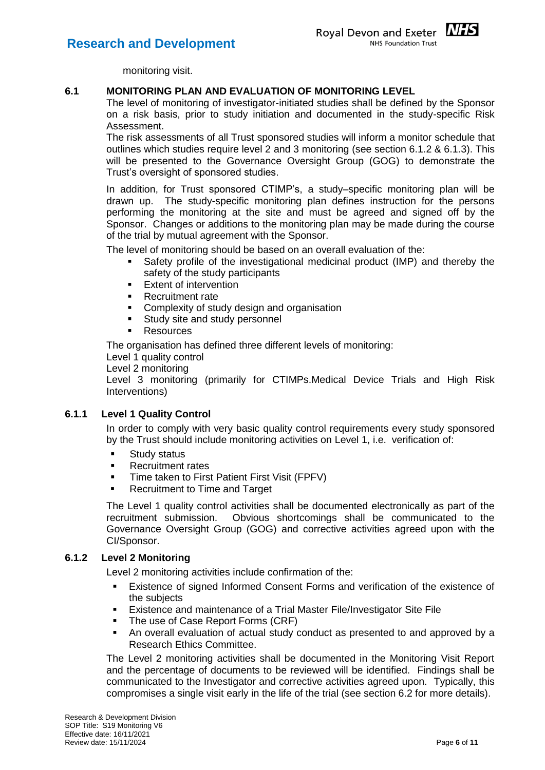monitoring visit.

### <span id="page-5-0"></span>**6.1 MONITORING PLAN AND EVALUATION OF MONITORING LEVEL**

The level of monitoring of investigator-initiated studies shall be defined by the Sponsor on a risk basis, prior to study initiation and documented in the study-specific Risk Assessment.

The risk assessments of all Trust sponsored studies will inform a monitor schedule that outlines which studies require level 2 and 3 monitoring (see section 6.1.2 & 6.1.3). This will be presented to the Governance Oversight Group (GOG) to demonstrate the Trust's oversight of sponsored studies.

In addition, for Trust sponsored CTIMP's, a study–specific monitoring plan will be drawn up. The study-specific monitoring plan defines instruction for the persons performing the monitoring at the site and must be agreed and signed off by the Sponsor. Changes or additions to the monitoring plan may be made during the course of the trial by mutual agreement with the Sponsor.

The level of monitoring should be based on an overall evaluation of the:

- Safety profile of the investigational medicinal product (IMP) and thereby the safety of the study participants
- **Extent of intervention**
- Recruitment rate<br>Complexity of stu
- Complexity of study design and organisation
- **Study site and study personnel**
- Resources

The organisation has defined three different levels of monitoring:

Level 1 quality control

Level 2 monitoring

Level 3 monitoring (primarily for CTIMPs.Medical Device Trials and High Risk Interventions)

#### <span id="page-5-1"></span>**6.1.1 Level 1 Quality Control**

In order to comply with very basic quality control requirements every study sponsored by the Trust should include monitoring activities on Level 1, i.e. verification of:

- **Study status**
- **Recruitment rates**
- **Time taken to First Patient First Visit (FPFV)**
- **Recruitment to Time and Target**

The Level 1 quality control activities shall be documented electronically as part of the recruitment submission. Obvious shortcomings shall be communicated to the Governance Oversight Group (GOG) and corrective activities agreed upon with the CI/Sponsor.

#### <span id="page-5-2"></span>**6.1.2 Level 2 Monitoring**

Level 2 monitoring activities include confirmation of the:

- Existence of signed Informed Consent Forms and verification of the existence of the subjects
- Existence and maintenance of a Trial Master File/Investigator Site File
- The use of Case Report Forms (CRF)
- An overall evaluation of actual study conduct as presented to and approved by a Research Ethics Committee.

The Level 2 monitoring activities shall be documented in the Monitoring Visit Report and the percentage of documents to be reviewed will be identified. Findings shall be communicated to the Investigator and corrective activities agreed upon. Typically, this compromises a single visit early in the life of the trial (see section 6.2 for more details).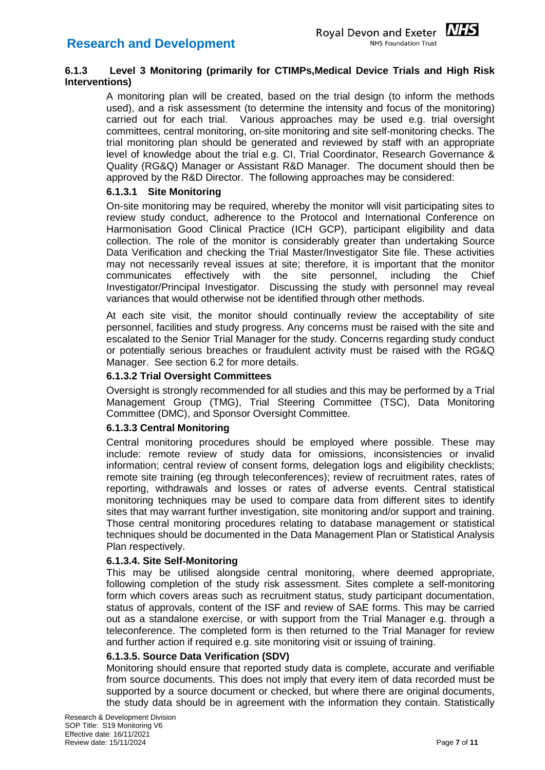<span id="page-6-0"></span>

A monitoring plan will be created, based on the trial design (to inform the methods used), and a risk assessment (to determine the intensity and focus of the monitoring) carried out for each trial. Various approaches may be used e.g. trial oversight committees, central monitoring, on-site monitoring and site self-monitoring checks. The trial monitoring plan should be generated and reviewed by staff with an appropriate level of knowledge about the trial e.g. CI, Trial Coordinator, Research Governance & Quality (RG&Q) Manager or Assistant R&D Manager. The document should then be approved by the R&D Director. The following approaches may be considered:

#### **6.1.3.1 Site Monitoring**

On-site monitoring may be required, whereby the monitor will visit participating sites to review study conduct, adherence to the Protocol and International Conference on Harmonisation Good Clinical Practice (ICH GCP), participant eligibility and data collection. The role of the monitor is considerably greater than undertaking Source Data Verification and checking the Trial Master/Investigator Site file. These activities may not necessarily reveal issues at site; therefore, it is important that the monitor communicates effectively with the site personnel, including the Chief Investigator/Principal Investigator. Discussing the study with personnel may reveal variances that would otherwise not be identified through other methods.

At each site visit, the monitor should continually review the acceptability of site personnel, facilities and study progress. Any concerns must be raised with the site and escalated to the Senior Trial Manager for the study. Concerns regarding study conduct or potentially serious breaches or fraudulent activity must be raised with the RG&Q Manager. See section 6.2 for more details.

#### **6.1.3.2 Trial Oversight Committees**

Oversight is strongly recommended for all studies and this may be performed by a Trial Management Group (TMG), Trial Steering Committee (TSC), Data Monitoring Committee (DMC), and Sponsor Oversight Committee.

#### **6.1.3.3 Central Monitoring**

Central monitoring procedures should be employed where possible. These may include: remote review of study data for omissions, inconsistencies or invalid information; central review of consent forms, delegation logs and eligibility checklists; remote site training (eg through teleconferences); review of recruitment rates, rates of reporting, withdrawals and losses or rates of adverse events. Central statistical monitoring techniques may be used to compare data from different sites to identify sites that may warrant further investigation, site monitoring and/or support and training. Those central monitoring procedures relating to database management or statistical techniques should be documented in the Data Management Plan or Statistical Analysis Plan respectively.

#### **6.1.3.4. Site Self**‐**Monitoring**

This may be utilised alongside central monitoring, where deemed appropriate, following completion of the study risk assessment. Sites complete a self-monitoring form which covers areas such as recruitment status, study participant documentation, status of approvals, content of the ISF and review of SAE forms. This may be carried out as a standalone exercise, or with support from the Trial Manager e.g. through a teleconference. The completed form is then returned to the Trial Manager for review and further action if required e.g. site monitoring visit or issuing of training.

#### **6.1.3.5. Source Data Verification (SDV)**

Monitoring should ensure that reported study data is complete, accurate and verifiable from source documents. This does not imply that every item of data recorded must be supported by a source document or checked, but where there are original documents, the study data should be in agreement with the information they contain. Statistically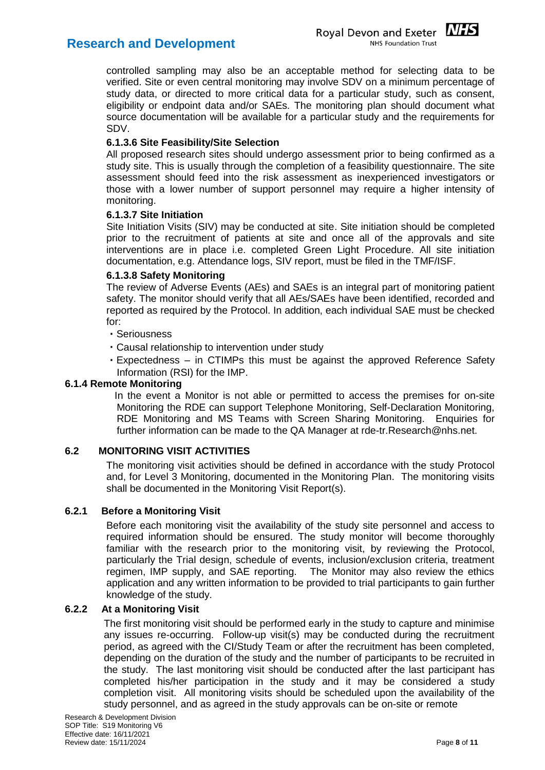

controlled sampling may also be an acceptable method for selecting data to be verified. Site or even central monitoring may involve SDV on a minimum percentage of study data, or directed to more critical data for a particular study, such as consent, eligibility or endpoint data and/or SAEs. The monitoring plan should document what source documentation will be available for a particular study and the requirements for SDV.

## **6.1.3.6 Site Feasibility/Site Selection**

All proposed research sites should undergo assessment prior to being confirmed as a study site. This is usually through the completion of a feasibility questionnaire. The site assessment should feed into the risk assessment as inexperienced investigators or those with a lower number of support personnel may require a higher intensity of monitoring.

#### **6.1.3.7 Site Initiation**

Site Initiation Visits (SIV) may be conducted at site. Site initiation should be completed prior to the recruitment of patients at site and once all of the approvals and site interventions are in place i.e. completed Green Light Procedure. All site initiation documentation, e.g. Attendance logs, SIV report, must be filed in the TMF/ISF.

#### **6.1.3.8 Safety Monitoring**

The review of Adverse Events (AEs) and SAEs is an integral part of monitoring patient safety. The monitor should verify that all AEs/SAEs have been identified, recorded and reported as required by the Protocol. In addition, each individual SAE must be checked for:

Seriousness

- Causal relationship to intervention under study
- Expectedness in CTIMPs this must be against the approved Reference Safety Information (RSI) for the IMP.

#### **6.1.4 Remote Monitoring**

 In the event a Monitor is not able or permitted to access the premises for on-site Monitoring the RDE can support Telephone Monitoring, Self-Declaration Monitoring, RDE Monitoring and MS Teams with Screen Sharing Monitoring. Enquiries for further information can be made to the QA Manager at rde-tr.Research@nhs.net.

#### <span id="page-7-0"></span>**6.2 MONITORING VISIT ACTIVITIES**

The monitoring visit activities should be defined in accordance with the study Protocol and, for Level 3 Monitoring, documented in the Monitoring Plan. The monitoring visits shall be documented in the Monitoring Visit Report(s).

#### <span id="page-7-1"></span>**6.2.1 Before a Monitoring Visit**

Before each monitoring visit the availability of the study site personnel and access to required information should be ensured. The study monitor will become thoroughly familiar with the research prior to the monitoring visit, by reviewing the Protocol, particularly the Trial design, schedule of events, inclusion/exclusion criteria, treatment regimen, IMP supply, and SAE reporting. The Monitor may also review the ethics application and any written information to be provided to trial participants to gain further knowledge of the study.

#### <span id="page-7-2"></span>**6.2.2 At a Monitoring Visit**

The first monitoring visit should be performed early in the study to capture and minimise any issues re-occurring. Follow-up visit(s) may be conducted during the recruitment period, as agreed with the CI/Study Team or after the recruitment has been completed, depending on the duration of the study and the number of participants to be recruited in the study. The last monitoring visit should be conducted after the last participant has completed his/her participation in the study and it may be considered a study completion visit. All monitoring visits should be scheduled upon the availability of the study personnel, and as agreed in the study approvals can be on-site or remote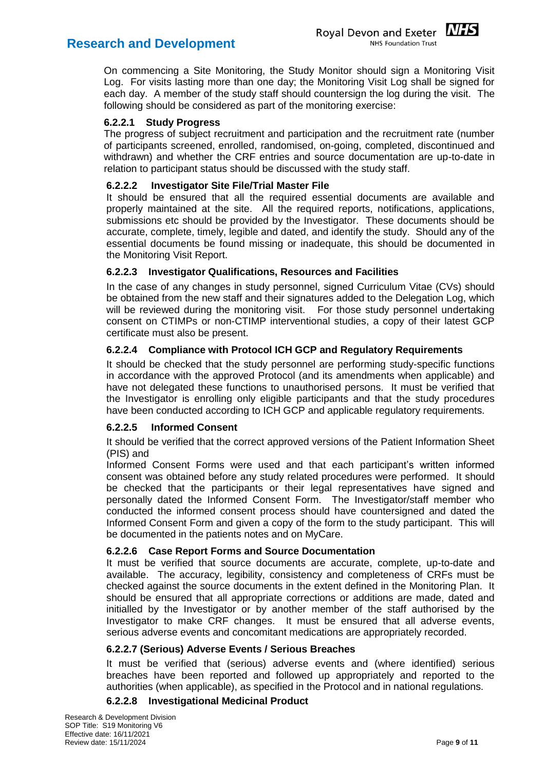

#### **6.2.2.1 Study Progress**

The progress of subject recruitment and participation and the recruitment rate (number of participants screened, enrolled, randomised, on-going, completed, discontinued and withdrawn) and whether the CRF entries and source documentation are up-to-date in relation to participant status should be discussed with the study staff.

#### **6.2.2.2 Investigator Site File/Trial Master File**

It should be ensured that all the required essential documents are available and properly maintained at the site. All the required reports, notifications, applications, submissions etc should be provided by the Investigator. These documents should be accurate, complete, timely, legible and dated, and identify the study. Should any of the essential documents be found missing or inadequate, this should be documented in the Monitoring Visit Report.

#### **6.2.2.3 Investigator Qualifications, Resources and Facilities**

In the case of any changes in study personnel, signed Curriculum Vitae (CVs) should be obtained from the new staff and their signatures added to the Delegation Log, which will be reviewed during the monitoring visit. For those study personnel undertaking consent on CTIMPs or non-CTIMP interventional studies, a copy of their latest GCP certificate must also be present.

#### **6.2.2.4 Compliance with Protocol ICH GCP and Regulatory Requirements**

It should be checked that the study personnel are performing study-specific functions in accordance with the approved Protocol (and its amendments when applicable) and have not delegated these functions to unauthorised persons. It must be verified that the Investigator is enrolling only eligible participants and that the study procedures have been conducted according to ICH GCP and applicable regulatory requirements.

#### **6.2.2.5 Informed Consent**

It should be verified that the correct approved versions of the Patient Information Sheet (PIS) and

Informed Consent Forms were used and that each participant's written informed consent was obtained before any study related procedures were performed. It should be checked that the participants or their legal representatives have signed and personally dated the Informed Consent Form. The Investigator/staff member who conducted the informed consent process should have countersigned and dated the Informed Consent Form and given a copy of the form to the study participant. This will be documented in the patients notes and on MyCare.

#### **6.2.2.6 Case Report Forms and Source Documentation**

It must be verified that source documents are accurate, complete, up-to-date and available. The accuracy, legibility, consistency and completeness of CRFs must be checked against the source documents in the extent defined in the Monitoring Plan. It should be ensured that all appropriate corrections or additions are made, dated and initialled by the Investigator or by another member of the staff authorised by the Investigator to make CRF changes. It must be ensured that all adverse events, serious adverse events and concomitant medications are appropriately recorded.

#### **6.2.2.7 (Serious) Adverse Events / Serious Breaches**

It must be verified that (serious) adverse events and (where identified) serious breaches have been reported and followed up appropriately and reported to the authorities (when applicable), as specified in the Protocol and in national regulations.

#### **6.2.2.8 Investigational Medicinal Product**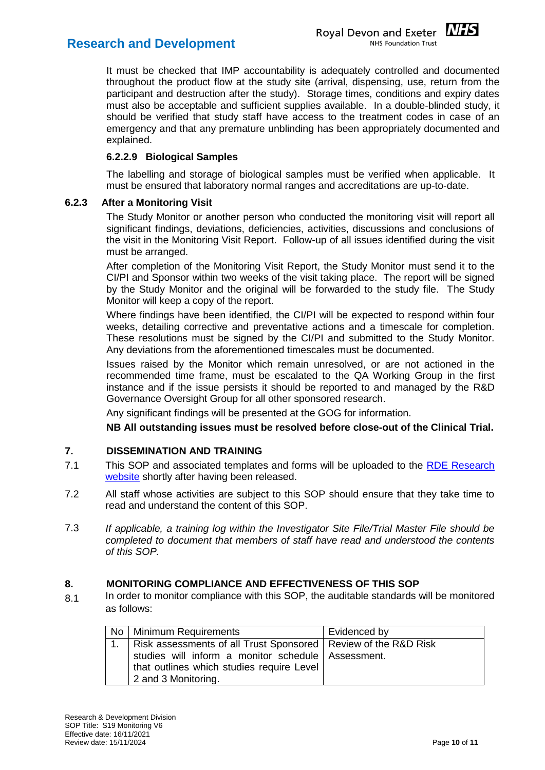

It must be checked that IMP accountability is adequately controlled and documented throughout the product flow at the study site (arrival, dispensing, use, return from the participant and destruction after the study). Storage times, conditions and expiry dates must also be acceptable and sufficient supplies available. In a double-blinded study, it should be verified that study staff have access to the treatment codes in case of an emergency and that any premature unblinding has been appropriately documented and explained.

#### **6.2.2.9 Biological Samples**

The labelling and storage of biological samples must be verified when applicable. It must be ensured that laboratory normal ranges and accreditations are up-to-date.

#### <span id="page-9-0"></span>**6.2.3 After a Monitoring Visit**

The Study Monitor or another person who conducted the monitoring visit will report all significant findings, deviations, deficiencies, activities, discussions and conclusions of the visit in the Monitoring Visit Report. Follow-up of all issues identified during the visit must be arranged.

After completion of the Monitoring Visit Report, the Study Monitor must send it to the CI/PI and Sponsor within two weeks of the visit taking place. The report will be signed by the Study Monitor and the original will be forwarded to the study file. The Study Monitor will keep a copy of the report.

Where findings have been identified, the CI/PI will be expected to respond within four weeks, detailing corrective and preventative actions and a timescale for completion. These resolutions must be signed by the CI/PI and submitted to the Study Monitor. Any deviations from the aforementioned timescales must be documented.

Issues raised by the Monitor which remain unresolved, or are not actioned in the recommended time frame, must be escalated to the QA Working Group in the first instance and if the issue persists it should be reported to and managed by the R&D Governance Oversight Group for all other sponsored research.

Any significant findings will be presented at the GOG for information.

**NB All outstanding issues must be resolved before close-out of the Clinical Trial.**

#### <span id="page-9-1"></span>**7. DISSEMINATION AND TRAINING**

- 7.1 This SOP and associated templates and forms will be uploaded to the RDE Research [website](https://rderesearch.co.uk/) shortly after having been released.
- 7.2 All staff whose activities are subject to this SOP should ensure that they take time to read and understand the content of this SOP.
- 7.3 *If applicable, a training log within the Investigator Site File/Trial Master File should be completed to document that members of staff have read and understood the contents of this SOP.*

#### <span id="page-9-2"></span>**8. MONITORING COMPLIANCE AND EFFECTIVENESS OF THIS SOP**

8.1 In order to monitor compliance with this SOP, the auditable standards will be monitored as follows:

| No   Minimum Requirements                                             | Evidenced by |
|-----------------------------------------------------------------------|--------------|
| 1.   Risk assessments of all Trust Sponsored   Review of the R&D Risk |              |
| studies will inform a monitor schedule   Assessment.                  |              |
| that outlines which studies require Level                             |              |
| 2 and 3 Monitoring.                                                   |              |